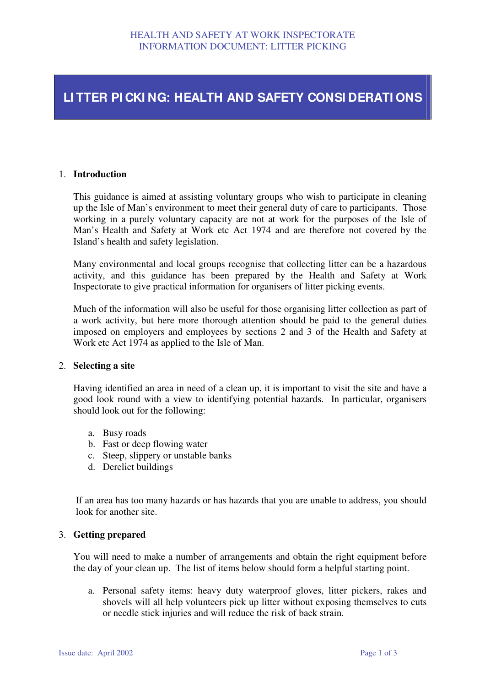# **LI TTER PI CKI NG: HEALTH AND SAFETY CONSI DERATI ONS**

### 1. **Introduction**

This guidance is aimed at assisting voluntary groups who wish to participate in cleaning up the Isle of Man's environment to meet their general duty of care to participants. Those working in a purely voluntary capacity are not at work for the purposes of the Isle of Man's Health and Safety at Work etc Act 1974 and are therefore not covered by the Island's health and safety legislation.

Many environmental and local groups recognise that collecting litter can be a hazardous activity, and this guidance has been prepared by the Health and Safety at Work Inspectorate to give practical information for organisers of litter picking events.

Much of the information will also be useful for those organising litter collection as part of a work activity, but here more thorough attention should be paid to the general duties imposed on employers and employees by sections 2 and 3 of the Health and Safety at Work etc Act 1974 as applied to the Isle of Man.

#### 2. **Selecting a site**

Having identified an area in need of a clean up, it is important to visit the site and have a good look round with a view to identifying potential hazards. In particular, organisers should look out for the following:

- a. Busy roads
- b. Fast or deep flowing water
- c. Steep, slippery or unstable banks
- d. Derelict buildings

If an area has too many hazards or has hazards that you are unable to address, you should look for another site.

### 3. **Getting prepared**

You will need to make a number of arrangements and obtain the right equipment before the day of your clean up. The list of items below should form a helpful starting point.

a. Personal safety items: heavy duty waterproof gloves, litter pickers, rakes and shovels will all help volunteers pick up litter without exposing themselves to cuts or needle stick injuries and will reduce the risk of back strain.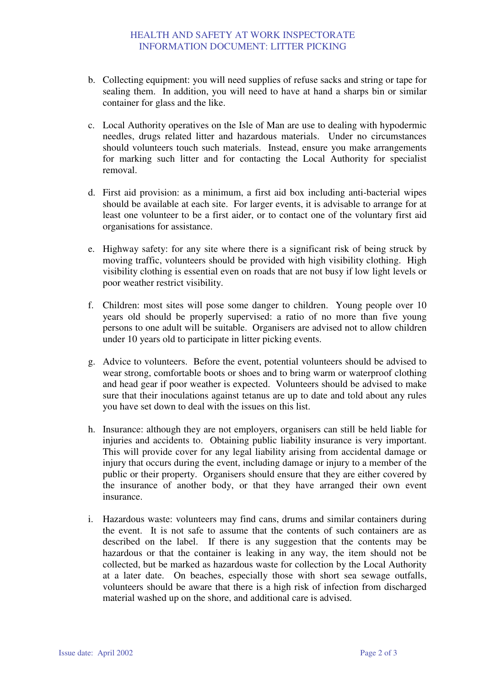- b. Collecting equipment: you will need supplies of refuse sacks and string or tape for sealing them. In addition, you will need to have at hand a sharps bin or similar container for glass and the like.
- c. Local Authority operatives on the Isle of Man are use to dealing with hypodermic needles, drugs related litter and hazardous materials. Under no circumstances should volunteers touch such materials. Instead, ensure you make arrangements for marking such litter and for contacting the Local Authority for specialist removal.
- d. First aid provision: as a minimum, a first aid box including anti-bacterial wipes should be available at each site. For larger events, it is advisable to arrange for at least one volunteer to be a first aider, or to contact one of the voluntary first aid organisations for assistance.
- e. Highway safety: for any site where there is a significant risk of being struck by moving traffic, volunteers should be provided with high visibility clothing. High visibility clothing is essential even on roads that are not busy if low light levels or poor weather restrict visibility.
- f. Children: most sites will pose some danger to children. Young people over 10 years old should be properly supervised: a ratio of no more than five young persons to one adult will be suitable. Organisers are advised not to allow children under 10 years old to participate in litter picking events.
- g. Advice to volunteers. Before the event, potential volunteers should be advised to wear strong, comfortable boots or shoes and to bring warm or waterproof clothing and head gear if poor weather is expected. Volunteers should be advised to make sure that their inoculations against tetanus are up to date and told about any rules you have set down to deal with the issues on this list.
- h. Insurance: although they are not employers, organisers can still be held liable for injuries and accidents to. Obtaining public liability insurance is very important. This will provide cover for any legal liability arising from accidental damage or injury that occurs during the event, including damage or injury to a member of the public or their property. Organisers should ensure that they are either covered by the insurance of another body, or that they have arranged their own event insurance.
- i. Hazardous waste: volunteers may find cans, drums and similar containers during the event. It is not safe to assume that the contents of such containers are as described on the label. If there is any suggestion that the contents may be hazardous or that the container is leaking in any way, the item should not be collected, but be marked as hazardous waste for collection by the Local Authority at a later date. On beaches, especially those with short sea sewage outfalls, volunteers should be aware that there is a high risk of infection from discharged material washed up on the shore, and additional care is advised.